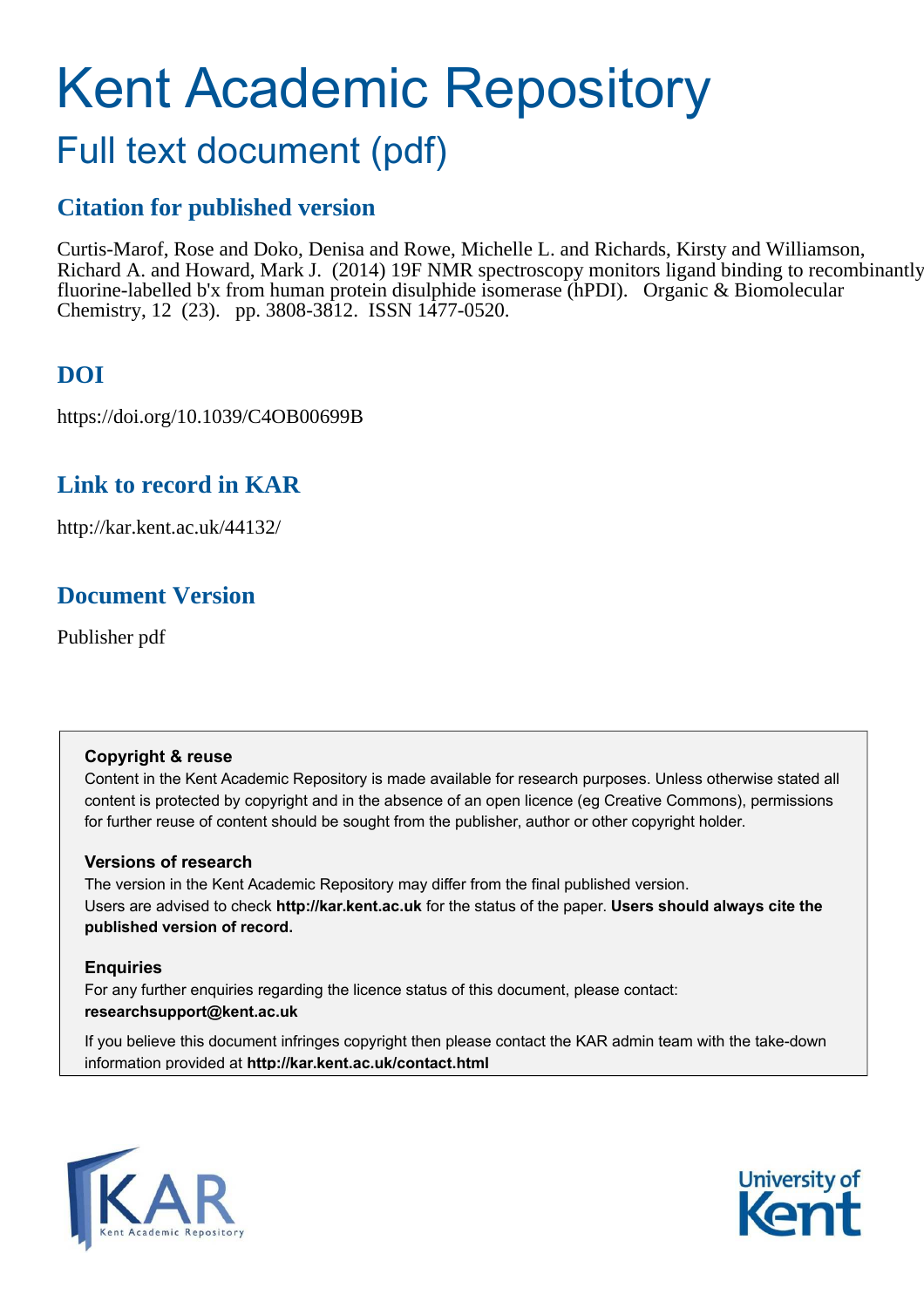# Kent Academic Repository

## Full text document (pdf)

## **Citation for published version**

Curtis-Marof, Rose and Doko, Denisa and Rowe, Michelle L. and Richards, Kirsty and Williamson, Richard A. and Howard, Mark J. (2014) 19F NMR spectroscopy monitors ligand binding to recombinantly fluorine-labelled b'x from human protein disulphide isomerase (hPDI). Organic & Biomolecular Chemistry, 12 (23). pp. 3808-3812. ISSN 1477-0520.

## **DOI**

https://doi.org/10.1039/C4OB00699B

## **Link to record in KAR**

http://kar.kent.ac.uk/44132/

## **Document Version**

Publisher pdf

#### **Copyright & reuse**

Content in the Kent Academic Repository is made available for research purposes. Unless otherwise stated all content is protected by copyright and in the absence of an open licence (eg Creative Commons), permissions for further reuse of content should be sought from the publisher, author or other copyright holder.

#### **Versions of research**

The version in the Kent Academic Repository may differ from the final published version. Users are advised to check **http://kar.kent.ac.uk** for the status of the paper. **Users should always cite the published version of record.**

#### **Enquiries**

For any further enquiries regarding the licence status of this document, please contact: **researchsupport@kent.ac.uk**

If you believe this document infringes copyright then please contact the KAR admin team with the take-down information provided at **http://kar.kent.ac.uk/contact.html**



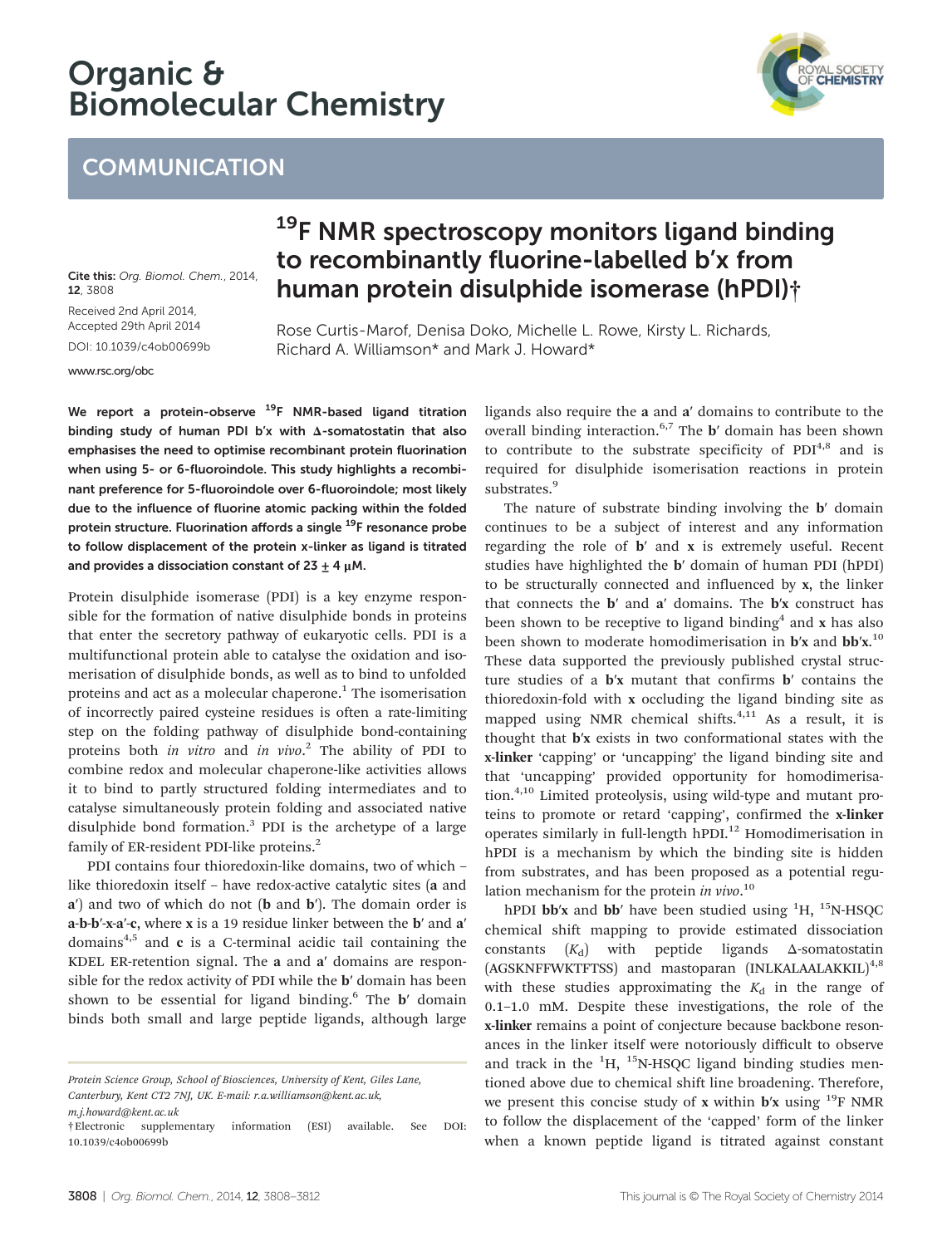## Organic & Biomolecular Chemistry

## **COMMUNICATION**

Cite this: Org. Biomol. Chem., 2014, 12, 3808 Received 2nd April 2014, Accepted 29th April 2014 DOI: 10.1039/c4ob00699b

<www.rsc.org/obc>

## <sup>19</sup>F NMR spectroscopy monitors ligand binding to recombinantly fluorine-labelled b'x from human protein disulphide isomerase (hPDI)†

Rose Curtis-Marof, Denisa Doko, Michelle L. Rowe, Kirsty L. Richards, Richard A. Williamson\* and Mark J. Howard\*

We report a protein-observe <sup>19</sup>F NMR-based ligand titration binding study of human PDI b'x with Δ-somatostatin that also emphasises the need to optimise recombinant protein fluorination when using 5- or 6-fluoroindole. This study highlights a recombinant preference for 5-fluoroindole over 6-fluoroindole; most likely due to the influence of fluorine atomic packing within the folded protein structure. Fluorination affords a single <sup>19</sup>F resonance probe to follow displacement of the protein x-linker as ligand is titrated and provides a dissociation constant of  $23 + 4$   $\mu$ M.

Protein disulphide isomerase (PDI) is a key enzyme responsible for the formation of native disulphide bonds in proteins that enter the secretory pathway of eukaryotic cells. PDI is a multifunctional protein able to catalyse the oxidation and isomerisation of disulphide bonds, as well as to bind to unfolded proteins and act as a molecular chaperone.<sup>1</sup> The isomerisation of incorrectly paired cysteine residues is often a rate-limiting step on the folding pathway of disulphide bond-containing proteins both *in vitro* and *in vivo*. 2 The ability of PDI to combine redox and molecular chaperone-like activities allows it to bind to partly structured folding intermediates and to catalyse simultaneously protein folding and associated native disulphide bond formation.<sup>3</sup> PDI is the archetype of a large family of ER-resident PDI-like proteins.<sup>2</sup>

PDI contains four thioredoxin-like domains, two of which – like thioredoxin itself – have redox-active catalytic sites (a and a′) and two of which do not (b and b′). The domain order is a-b-b′-x-a′-c, where x is a 19 residue linker between the b′ and a′ domains $4,5$  and c is a C-terminal acidic tail containing the KDEL ER-retention signal. The a and a′ domains are responsible for the redox activity of PDI while the b′ domain has been shown to be essential for ligand binding.<sup>6</sup> The **b'** domain binds both small and large peptide ligands, although large

operates similarly in full-length hPDI.<sup>12</sup> Homodimerisation in hPDI is a mechanism by which the binding site is hidden from substrates, and has been proposed as a potential regu-

> lation mechanism for the protein *in vivo*. 10 hPDI bb'x and bb' have been studied using  ${}^{1}H$ ,  ${}^{15}N$ -HSQC chemical shift mapping to provide estimated dissociation constants  $(K_d)$  with peptide ligands  $\Delta$ -somatostatin (AGSKNFFWKTFTSS) and mastoparan (INLKALAALAKKIL)<sup>4,8</sup> with these studies approximating the  $K_d$  in the range of 0.1–1.0 mM. Despite these investigations, the role of the x-linker remains a point of conjecture because backbone resonances in the linker itself were notoriously difficult to observe and track in the  ${}^{1}H$ ,  ${}^{15}N$ -HSQC ligand binding studies mentioned above due to chemical shift line broadening. Therefore, we present this concise study of x within  $\mathbf{b}'\mathbf{x}$  using <sup>19</sup>F NMR to follow the displacement of the 'capped' form of the linker when a known peptide ligand is titrated against constant

#### 3808 | Org. Biomol. Chem., 2014, 12, 3808-3812 This journal is © The Royal Society of Chemistry 2014

ligands also require the a and a′ domains to contribute to the overall binding interaction.6,7 The b′ domain has been shown to contribute to the substrate specificity of  $PDI<sup>4,8</sup>$  and is required for disulphide isomerisation reactions in protein substrates.<sup>9</sup>

The nature of substrate binding involving the **b**' domain continues to be a subject of interest and any information regarding the role of b′ and x is extremely useful. Recent studies have highlighted the b′ domain of human PDI (hPDI) to be structurally connected and influenced by x, the linker that connects the b′ and a′ domains. The b′x construct has been shown to be receptive to ligand binding<sup>4</sup> and x has also been shown to moderate homodimerisation in b'x and bb'x.<sup>10</sup> These data supported the previously published crystal structure studies of a b′x mutant that confirms b′ contains the thioredoxin-fold with x occluding the ligand binding site as mapped using NMR chemical shifts. $4,11$  As a result, it is thought that b′x exists in two conformational states with the x-linker 'capping' or 'uncapping' the ligand binding site and that 'uncapping' provided opportunity for homodimerisation.4,10 Limited proteolysis, using wild-type and mutant proteins to promote or retard 'capping', confirmed the x-linker

*Protein Science Group, School of Biosciences, University of Kent, Giles Lane, Canterbury, Kent CT2 7NJ, UK. E-mail: r.a.williamson@kent.ac.uk,*

*m.j.howard@kent.ac.uk*

<sup>†</sup>Electronic supplementary information (ESI) available. See DOI: 10.1039/c4ob00699b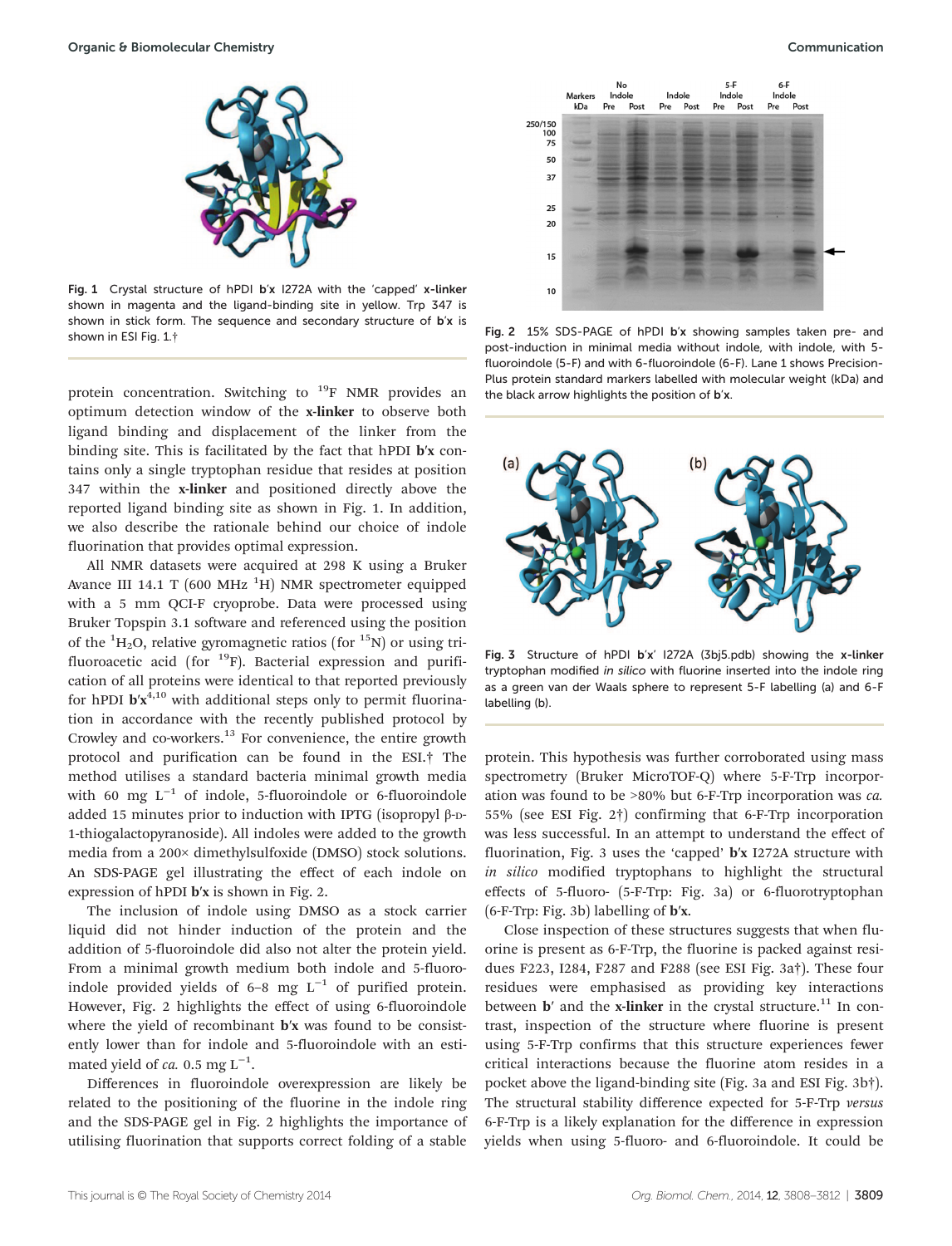

Fig. 1 Crystal structure of hPDI b'x I272A with the 'capped' x-linker shown in magenta and the ligand-binding site in yellow. Trp 347 is shown in stick form. The sequence and secondary structure of b'x is shown in ESI Fig. 1.†

protein concentration. Switching to <sup>19</sup>F NMR provides an optimum detection window of the x-linker to observe both ligand binding and displacement of the linker from the binding site. This is facilitated by the fact that hPDI b′x contains only a single tryptophan residue that resides at position 347 within the x-linker and positioned directly above the reported ligand binding site as shown in Fig. 1. In addition, we also describe the rationale behind our choice of indole fluorination that provides optimal expression.

All NMR datasets were acquired at 298 K using a Bruker Avance III 14.1 T (600 MHz  $^{1}$ H) NMR spectrometer equipped with a 5 mm QCI-F cryoprobe. Data were processed using Bruker Topspin 3.1 software and referenced using the position of the  ${}^{1}H_{2}O$ , relative gyromagnetic ratios (for  ${}^{15}N$ ) or using trifluoroacetic acid (for  $^{19}$ F). Bacterial expression and purification of all proteins were identical to that reported previously for hPDI  $b'x^{4,10}$  with additional steps only to permit fluorination in accordance with the recently published protocol by Crowley and co-workers.<sup>13</sup> For convenience, the entire growth protocol and purification can be found in the ESI.† The method utilises a standard bacteria minimal growth media with 60 mg L<sup>-1</sup> of indole, 5-fluoroindole or 6-fluoroindole added 15 minutes prior to induction with IPTG (isopropyl β-D-1-thiogalactopyranoside). All indoles were added to the growth media from a 200× dimethylsulfoxide (DMSO) stock solutions. An SDS-PAGE gel illustrating the effect of each indole on expression of hPDI b′x is shown in Fig. 2.

The inclusion of indole using DMSO as a stock carrier liquid did not hinder induction of the protein and the addition of 5-fluoroindole did also not alter the protein yield. From a minimal growth medium both indole and 5-fluoroindole provided yields of 6-8 mg  $L^{-1}$  of purified protein. However, Fig. 2 highlights the effect of using 6-fluoroindole where the yield of recombinant **b**'x was found to be consistently lower than for indole and 5-fluoroindole with an estimated yield of *ca.* 0.5 mg  $L^{-1}$ .

Differences in fluoroindole overexpression are likely be related to the positioning of the fluorine in the indole ring and the SDS-PAGE gel in Fig. 2 highlights the importance of utilising fluorination that supports correct folding of a stable



Fig. 2 15% SDS-PAGE of hPDI b'x showing samples taken pre- and post-induction in minimal media without indole, with indole, with 5 fluoroindole (5-F) and with 6-fluoroindole (6-F). Lane 1 shows Precision-Plus protein standard markers labelled with molecular weight (kDa) and the black arrow highlights the position of b'x.



Fig. 3 Structure of hPDI b'x' I272A (3bj5.pdb) showing the x-linker tryptophan modified in silico with fluorine inserted into the indole ring as a green van der Waals sphere to represent 5-F labelling (a) and 6-F labelling (b).

protein. This hypothesis was further corroborated using mass spectrometry (Bruker MicroTOF-Q) where 5-F-Trp incorporation was found to be >80% but 6-F-Trp incorporation was *ca.* 55% (see ESI Fig. 2†) confirming that 6-F-Trp incorporation was less successful. In an attempt to understand the effect of fluorination, Fig. 3 uses the 'capped' b′x I272A structure with *in silico* modified tryptophans to highlight the structural effects of 5-fluoro- (5-F-Trp: Fig. 3a) or 6-fluorotryptophan (6-F-Trp: Fig. 3b) labelling of b′x.

Close inspection of these structures suggests that when fluorine is present as 6-F-Trp, the fluorine is packed against residues F223, I284, F287 and F288 (see ESI Fig. 3a†). These four residues were emphasised as providing key interactions between  $\mathbf{b}'$  and the x-linker in the crystal structure.<sup>11</sup> In contrast, inspection of the structure where fluorine is present using 5-F-Trp confirms that this structure experiences fewer critical interactions because the fluorine atom resides in a pocket above the ligand-binding site (Fig. 3a and ESI Fig. 3b†). The structural stability difference expected for 5-F-Trp *versus* 6-F-Trp is a likely explanation for the difference in expression yields when using 5-fluoro- and 6-fluoroindole. It could be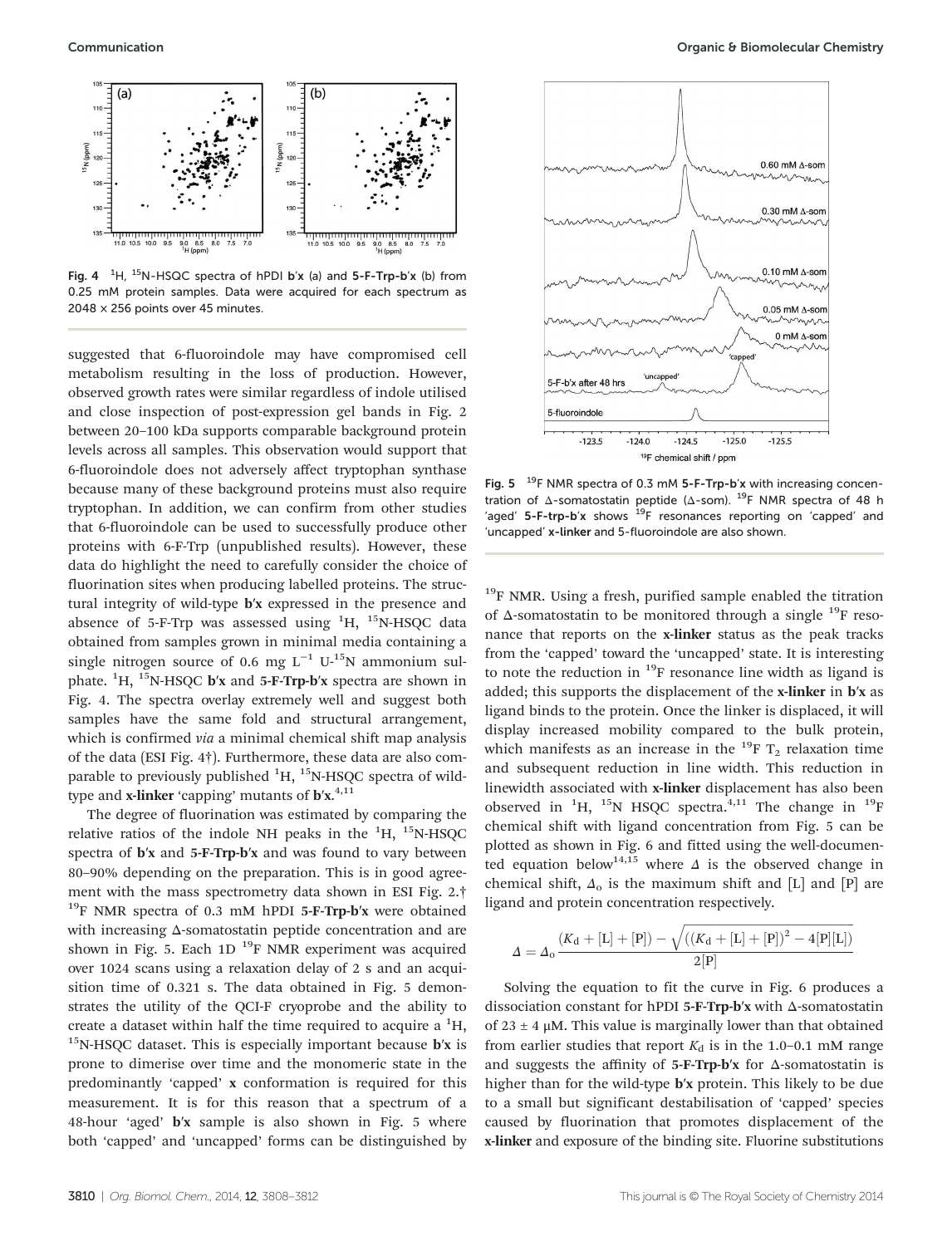

Fig. 4  $^{-1}$ H, <sup>15</sup>N-HSQC spectra of hPDI b'x (a) and 5-F-Trp-b'x (b) from 0.25 mM protein samples. Data were acquired for each spectrum as 2048 × 256 points over 45 minutes.

suggested that 6-fluoroindole may have compromised cell metabolism resulting in the loss of production. However, observed growth rates were similar regardless of indole utilised and close inspection of post-expression gel bands in Fig. 2 between 20–100 kDa supports comparable background protein levels across all samples. This observation would support that 6-fluoroindole does not adversely affect tryptophan synthase because many of these background proteins must also require tryptophan. In addition, we can confirm from other studies that 6-fluoroindole can be used to successfully produce other proteins with 6-F-Trp (unpublished results). However, these data do highlight the need to carefully consider the choice of fluorination sites when producing labelled proteins. The structural integrity of wild-type b′x expressed in the presence and absence of 5-F-Trp was assessed using  ${}^{1}H$ ,  ${}^{15}N$ -HSQC data obtained from samples grown in minimal media containing a single nitrogen source of 0.6 mg  $L^{-1}$  U-<sup>15</sup>N ammonium sulphate.  ${}^{1}H$ ,  ${}^{15}N$ -HSQC **b**'x and 5-**F-Trp-b**'x spectra are shown in Fig. 4. The spectra overlay extremely well and suggest both samples have the same fold and structural arrangement, which is confirmed *via* a minimal chemical shift map analysis of the data (ESI Fig. 4†). Furthermore, these data are also comparable to previously published  ${}^{1}H, {}^{15}N-HSQC$  spectra of wildtype and **x-linker** 'capping' mutants of  $\mathbf{b}'\mathbf{x}.^{4,11}$ 

The degree of fluorination was estimated by comparing the relative ratios of the indole NH peaks in the  ${}^{1}H$ ,  ${}^{15}N$ -HSQC spectra of b′x and 5-F-Trp-b′x and was found to vary between 80–90% depending on the preparation. This is in good agreement with the mass spectrometry data shown in ESI Fig. 2.†  $19$ F NMR spectra of 0.3 mM hPDI 5-F-Trp-b'x were obtained with increasing Δ-somatostatin peptide concentration and are shown in Fig. 5. Each  $1D^{19}F$  NMR experiment was acquired over 1024 scans using a relaxation delay of 2 s and an acquisition time of 0.321 s. The data obtained in Fig. 5 demonstrates the utility of the QCI-F cryoprobe and the ability to create a dataset within half the time required to acquire a  ${}^{1}H$ ,  $15$ N-HSQC dataset. This is especially important because **b**'x is prone to dimerise over time and the monomeric state in the predominantly 'capped' x conformation is required for this measurement. It is for this reason that a spectrum of a 48-hour 'aged' b′x sample is also shown in Fig. 5 where both 'capped' and 'uncapped' forms can be distinguished by



Fig.  $5<sup>-19</sup>F NMR spectra of 0.3 mM 5-F-Trp-b'x with increasing concen$ tration of Δ-somatostatin peptide (Δ-som). <sup>19</sup>F NMR spectra of 48 h 'aged'  $5$ -F-trp-b'x shows  $19$ F resonances reporting on 'capped' and 'uncapped' x-linker and 5-fluoroindole are also shown.

 $19$ F NMR. Using a fresh, purified sample enabled the titration of  $\Delta$ -somatostatin to be monitored through a single <sup>19</sup>F resonance that reports on the x-linker status as the peak tracks from the 'capped' toward the 'uncapped' state. It is interesting to note the reduction in  $^{19}$ F resonance line width as ligand is added; this supports the displacement of the x-linker in b′x as ligand binds to the protein. Once the linker is displaced, it will display increased mobility compared to the bulk protein, which manifests as an increase in the <sup>19</sup>F  $T_2$  relaxation time and subsequent reduction in line width. This reduction in linewidth associated with x-linker displacement has also been observed in  ${}^{1}H$ ,  ${}^{15}N$  HSQC spectra.<sup>4,11</sup> The change in  ${}^{19}F$ chemical shift with ligand concentration from Fig. 5 can be plotted as shown in Fig. 6 and fitted using the well-documented equation below<sup>14,15</sup> where  $\Delta$  is the observed change in chemical shift,  $\Delta_0$  is the maximum shift and [L] and [P] are ligand and protein concentration respectively.

$$
\varDelta = \varDelta_{\rm o} \frac{(K_{\rm d} + [\rm L] + [\rm P]) - \sqrt{((K_{\rm d} + [\rm L] + [\rm P])^2 - 4[\rm P][\rm L])}}{2[\rm P]}
$$

Solving the equation to fit the curve in Fig. 6 produces a dissociation constant for hPDI 5-F-Trp-b′x with Δ-somatostatin of  $23 \pm 4$  μM. This value is marginally lower than that obtained from earlier studies that report  $K_d$  is in the 1.0–0.1 mM range and suggests the affinity of 5-F-Trp-b′x for Δ-somatostatin is higher than for the wild-type **b'x** protein. This likely to be due to a small but significant destabilisation of 'capped' species caused by fluorination that promotes displacement of the x-linker and exposure of the binding site. Fluorine substitutions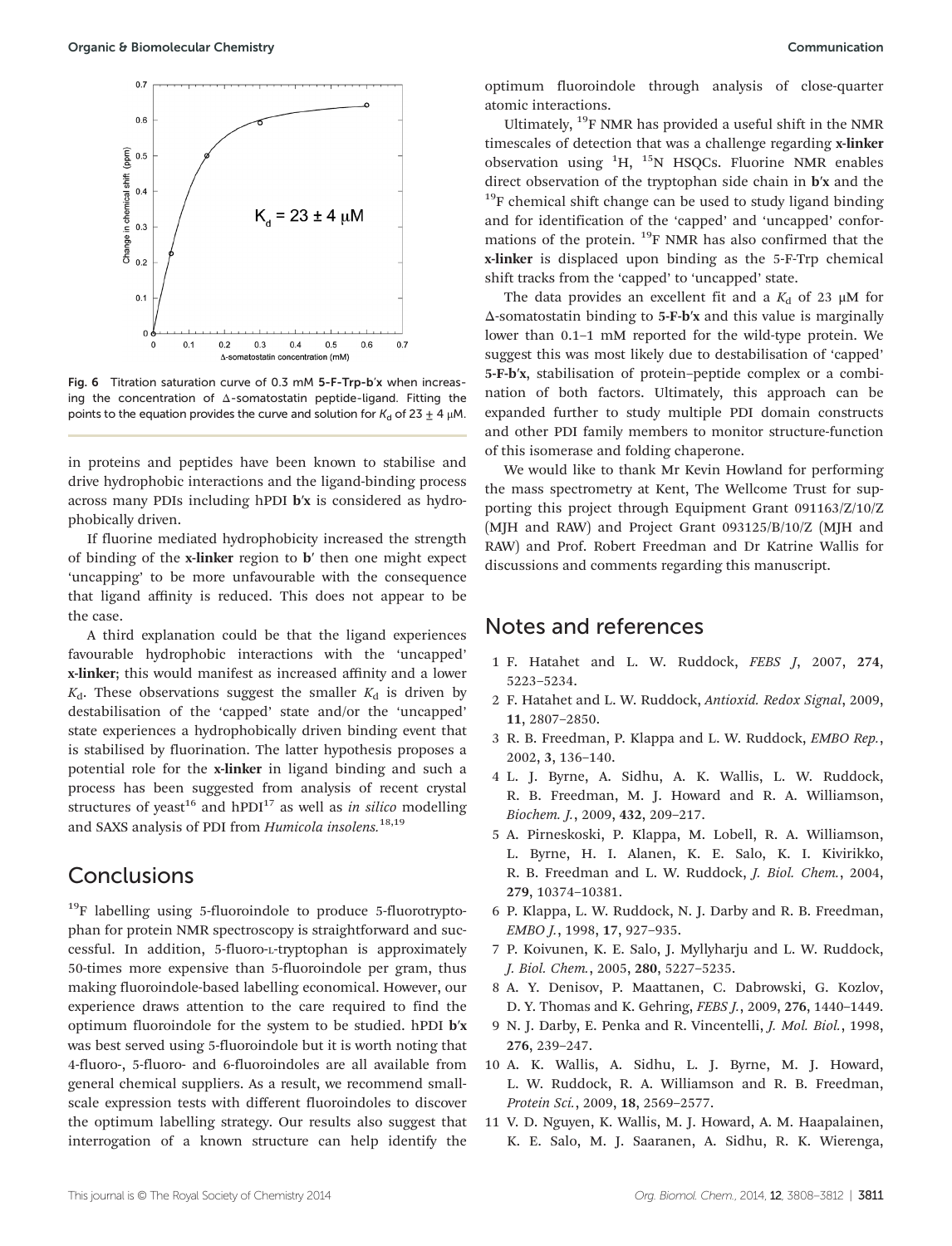

Fig. 6 Titration saturation curve of 0.3 mM 5-F-Trp-b'x when increasing the concentration of Δ-somatostatin peptide-ligand. Fitting the points to the equation provides the curve and solution for  $K_d$  of 23  $\pm$  4 μM.

in proteins and peptides have been known to stabilise and drive hydrophobic interactions and the ligand-binding process across many PDIs including hPDI b′x is considered as hydrophobically driven.

If fluorine mediated hydrophobicity increased the strength of binding of the x-linker region to b′ then one might expect 'uncapping' to be more unfavourable with the consequence that ligand affinity is reduced. This does not appear to be the case.

A third explanation could be that the ligand experiences favourable hydrophobic interactions with the 'uncapped' x-linker; this would manifest as increased affinity and a lower  $K_d$ . These observations suggest the smaller  $K_d$  is driven by destabilisation of the 'capped' state and/or the 'uncapped' state experiences a hydrophobically driven binding event that is stabilised by fluorination. The latter hypothesis proposes a potential role for the x-linker in ligand binding and such a process has been suggested from analysis of recent crystal structures of yeast<sup>16</sup> and  $hPDI<sup>17</sup>$  as well as *in silico* modelling and SAXS analysis of PDI from *Humicola insolens.*18,19

#### Conclusions

<sup>19</sup>F labelling using 5-fluoroindole to produce 5-fluorotryptophan for protein NMR spectroscopy is straightforward and successful. In addition, 5-fluoro-L-tryptophan is approximately 50-times more expensive than 5-fluoroindole per gram, thus making fluoroindole-based labelling economical. However, our experience draws attention to the care required to find the optimum fluoroindole for the system to be studied. hPDI b′x was best served using 5-fluoroindole but it is worth noting that 4-fluoro-, 5-fluoro- and 6-fluoroindoles are all available from general chemical suppliers. As a result, we recommend smallscale expression tests with different fluoroindoles to discover the optimum labelling strategy. Our results also suggest that interrogation of a known structure can help identify the

optimum fluoroindole through analysis of close-quarter atomic interactions.

Ultimately,  $^{19}$ F NMR has provided a useful shift in the NMR timescales of detection that was a challenge regarding x-linker observation using  ${}^{1}H$ ,  ${}^{15}N$  HSQCs. Fluorine NMR enables direct observation of the tryptophan side chain in b′x and the  $19F$  chemical shift change can be used to study ligand binding and for identification of the 'capped' and 'uncapped' conformations of the protein. <sup>19</sup>F NMR has also confirmed that the x-linker is displaced upon binding as the 5-F-Trp chemical shift tracks from the 'capped' to 'uncapped' state.

The data provides an excellent fit and a  $K_d$  of 23  $\mu$ M for Δ-somatostatin binding to 5-F-b′x and this value is marginally lower than 0.1–1 mM reported for the wild-type protein. We suggest this was most likely due to destabilisation of 'capped' 5-F-b′x, stabilisation of protein–peptide complex or a combination of both factors. Ultimately, this approach can be expanded further to study multiple PDI domain constructs and other PDI family members to monitor structure-function of this isomerase and folding chaperone.

We would like to thank Mr Kevin Howland for performing the mass spectrometry at Kent, The Wellcome Trust for supporting this project through Equipment Grant 091163/Z/10/Z (MJH and RAW) and Project Grant 093125/B/10/Z (MJH and RAW) and Prof. Robert Freedman and Dr Katrine Wallis for discussions and comments regarding this manuscript.

#### Notes and references

- 1 F. Hatahet and L. W. Ruddock, *FEBS J*, 2007, 274, 5223–5234.
- 2 F. Hatahet and L. W. Ruddock, *Antioxid. Redox Signal*, 2009, 11, 2807–2850.
- 3 R. B. Freedman, P. Klappa and L. W. Ruddock, *EMBO Rep.*, 2002, 3, 136–140.
- 4 L. J. Byrne, A. Sidhu, A. K. Wallis, L. W. Ruddock, R. B. Freedman, M. J. Howard and R. A. Williamson, *Biochem. J.*, 2009, 432, 209–217.
- 5 A. Pirneskoski, P. Klappa, M. Lobell, R. A. Williamson, L. Byrne, H. I. Alanen, K. E. Salo, K. I. Kivirikko, R. B. Freedman and L. W. Ruddock, *J. Biol. Chem.*, 2004, 279, 10374–10381.
- 6 P. Klappa, L. W. Ruddock, N. J. Darby and R. B. Freedman, *EMBO J.*, 1998, 17, 927–935.
- 7 P. Koivunen, K. E. Salo, J. Myllyharju and L. W. Ruddock, *J. Biol. Chem.*, 2005, 280, 5227–5235.
- 8 A. Y. Denisov, P. Maattanen, C. Dabrowski, G. Kozlov, D. Y. Thomas and K. Gehring, *FEBS J.*, 2009, 276, 1440–1449.
- 9 N. J. Darby, E. Penka and R. Vincentelli, *J. Mol. Biol.*, 1998, 276, 239–247.
- 10 A. K. Wallis, A. Sidhu, L. J. Byrne, M. J. Howard, L. W. Ruddock, R. A. Williamson and R. B. Freedman, *Protein Sci.*, 2009, 18, 2569–2577.
- 11 V. D. Nguyen, K. Wallis, M. J. Howard, A. M. Haapalainen, K. E. Salo, M. J. Saaranen, A. Sidhu, R. K. Wierenga,